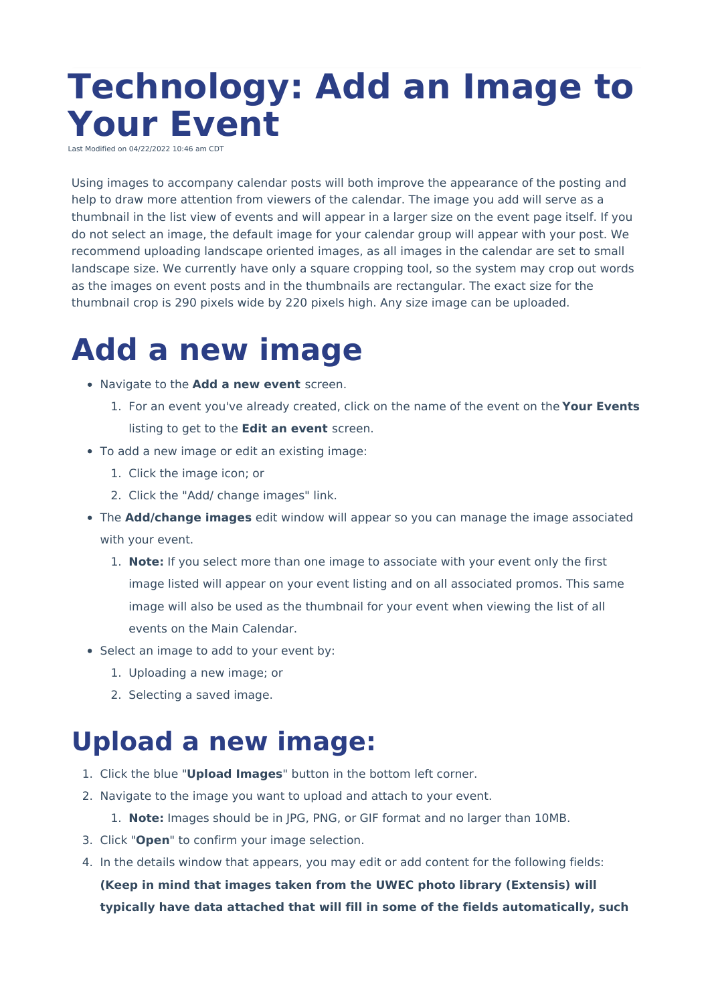# **Technology: Add an Image to Your Event**

Last Modified on 04/22/2022 10:46 am CD

Using images to accompany calendar posts will both improve the appearance of the posting and help to draw more attention from viewers of the calendar. The image you add will serve as a thumbnail in the list view of events and will appear in a larger size on the event page itself. If you do not select an image, the default image for your calendar group will appear with your post. We recommend uploading landscape oriented images, as all images in the calendar are set to small landscape size. We currently have only a square cropping tool, so the system may crop out words as the images on event posts and in the thumbnails are rectangular. The exact size for the thumbnail crop is 290 pixels wide by 220 pixels high. Any size image can be uploaded.

## **Add a new image**

- Navigate to the **Add a new event** screen.
	- 1. For an event you've already created, click on the name of the event on the **Your Events** listing to get to the **Edit an event** screen.
- To add a new image or edit an existing image:
	- 1. Click the image icon; or
	- 2. Click the "Add/ change images" link.
- The **Add/change images** edit window will appear so you can manage the image associated with your event.
	- 1. **Note:** If you select more than one image to associate with your event only the first image listed will appear on your event listing and on all associated promos. This same image will also be used as the thumbnail for your event when viewing the list of all events on the Main Calendar.
- Select an image to add to your event by:
	- 1. Uploading a new image; or
	- 2. Selecting a saved image.

#### **Upload a new image:**

- 1. Click the blue "**Upload Images**" button in the bottom left corner.
- 2. Navigate to the image you want to upload and attach to your event.
	- 1. **Note:** Images should be in JPG, PNG, or GIF format and no larger than 10MB.
- 3. Click "**Open**" to confirm your image selection.
- 4. In the details window that appears, you may edit or add content for the following fields:

**(Keep in mind that images taken from the UWEC photo library (Extensis) will typically have data attached that will fill in some of the fields automatically, such**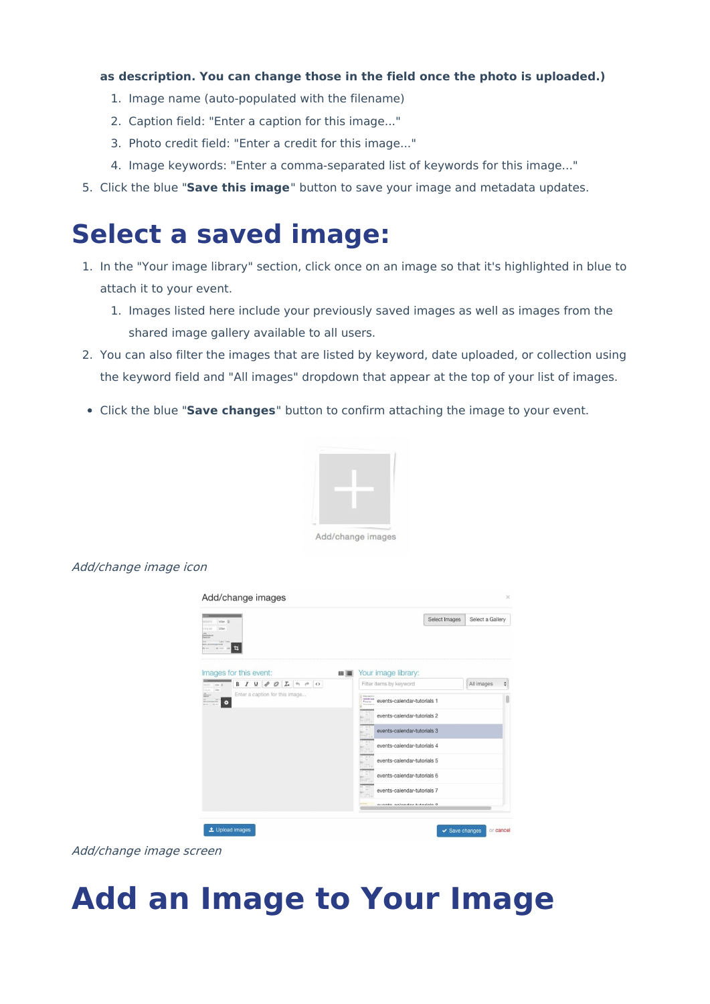#### **as description. You can change those in the field once the photo is uploaded.)**

- 1. Image name (auto-populated with the filename)
- 2. Caption field: "Enter a caption for this image..."
- 3. Photo credit field: "Enter a credit for this image..."
- 4. Image keywords: "Enter a comma-separated list of keywords for this image..."
- 5. Click the blue "**Save this image**" button to save your image and metadata updates.

### **Select a saved image:**

- 1. In the "Your image library" section, click once on an image so that it's highlighted in blue to attach it to your event.
	- 1. Images listed here include your previously saved images as well as images from the shared image gallery available to all users.
- 2. You can also filter the images that are listed by keyword, date uploaded, or collection using the keyword field and "All images" dropdown that appear at the top of your list of images.
- Click the blue "**Save changes**" button to confirm attaching the image to your event.



Add/change images

#### Add/change image icon

| 26/25/2018<br>900m (2)<br>200m<br><b>Licing date</b><br><b>AN</b><br>Freesantes<br>MEX.ME<br>耳<br><b>M</b> MOT<br><b>VW</b>                                                                                    |    |                                                                                           | Select Images | Select a Gallery |                                                                              |
|----------------------------------------------------------------------------------------------------------------------------------------------------------------------------------------------------------------|----|-------------------------------------------------------------------------------------------|---------------|------------------|------------------------------------------------------------------------------|
| Images for this event:                                                                                                                                                                                         | 田田 | Your image library:                                                                       |               |                  |                                                                              |
| 恣<br>$\boldsymbol{I}$<br>$\overline{\mathsf{u}}$<br>$\mathcal{O}$<br>$\mathcal{I}_x$ $\leftrightarrow$ $\leftrightarrow$ $\circ$<br>B<br><b>Star 3</b><br><b>Office</b><br>Enter a caption for this image<br>۰ |    | Filter items by keyword                                                                   |               | All images       | $\frac{\textcolor{red}{\blacklozenge}}{\textcolor{red}{\blacktriangledown}}$ |
|                                                                                                                                                                                                                |    | <b>Book Again</b> 4<br><b>CARSUS Cand</b><br>events-calendar-tutorials 1<br><b>Family</b> |               |                  |                                                                              |
|                                                                                                                                                                                                                |    | events-calendar-tutorials 2                                                               |               |                  |                                                                              |
|                                                                                                                                                                                                                |    | events-calendar-tutorials 3                                                               |               |                  |                                                                              |
|                                                                                                                                                                                                                | E  | events-calendar-tutorials 4                                                               |               |                  |                                                                              |
|                                                                                                                                                                                                                |    | events-calendar-tutorials 5                                                               |               |                  |                                                                              |
|                                                                                                                                                                                                                | 5  | events-calendar-tutorials 6                                                               |               |                  |                                                                              |
|                                                                                                                                                                                                                |    | events-calendar-tutorials 7                                                               |               |                  |                                                                              |
|                                                                                                                                                                                                                |    | quanto galandar tutariale Q                                                               |               |                  |                                                                              |

Add/change image screen

# **Add an Image to Your Image**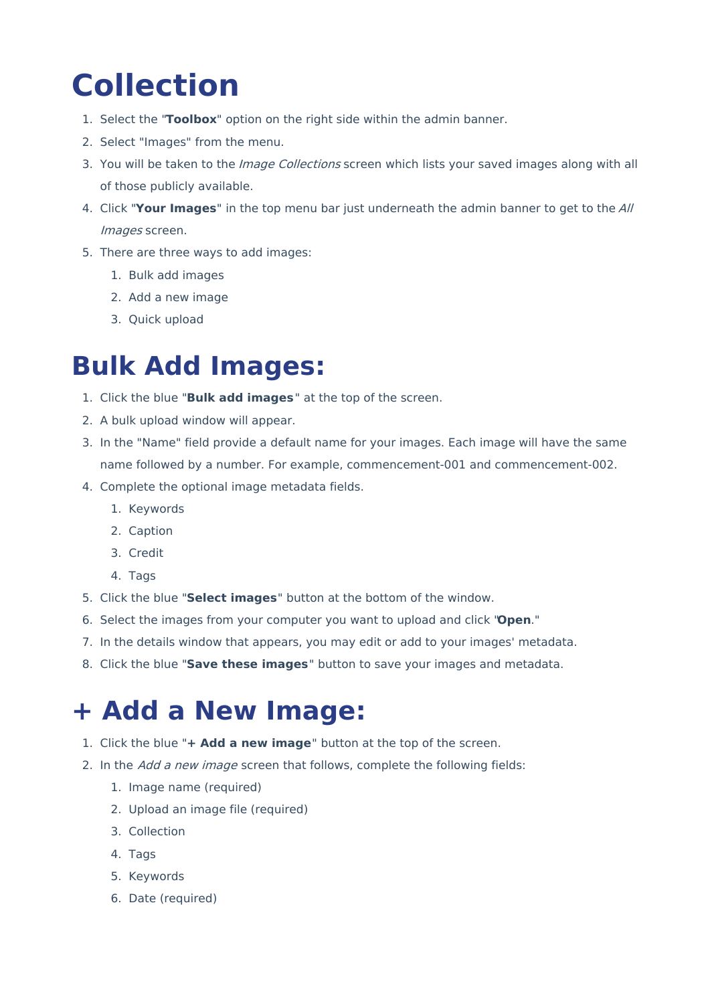# **Collection**

- 1. Select the "**Toolbox**" option on the right side within the admin banner.
- 2. Select "Images" from the menu.
- 3. You will be taken to the *Image Collections* screen which lists your saved images along with all of those publicly available.
- 4. Click "**Your Images**" in the top menu bar just underneath the admin banner to get to the All Images screen.
- 5. There are three ways to add images:
	- 1. Bulk add images
	- 2. Add a new image
	- 3. Quick upload

### **Bulk Add Images:**

- 1. Click the blue "**Bulk add images**" at the top of the screen.
- 2. A bulk upload window will appear.
- 3. In the "Name" field provide a default name for your images. Each image will have the same name followed by a number. For example, commencement-001 and commencement-002.
- 4. Complete the optional image metadata fields.
	- 1. Keywords
	- 2. Caption
	- 3. Credit
	- 4. Tags
- 5. Click the blue "**Select images**" button at the bottom of the window.
- 6. Select the images from your computer you want to upload and click "**Open**."
- 7. In the details window that appears, you may edit or add to your images' metadata.
- 8. Click the blue "**Save these images**" button to save your images and metadata.

## **+ Add a New Image:**

- 1. Click the blue "**+ Add a new image**" button at the top of the screen.
- 2. In the Add a new image screen that follows, complete the following fields:
	- 1. Image name (required)
	- 2. Upload an image file (required)
	- 3. Collection
	- 4. Tags
	- 5. Keywords
	- 6. Date (required)